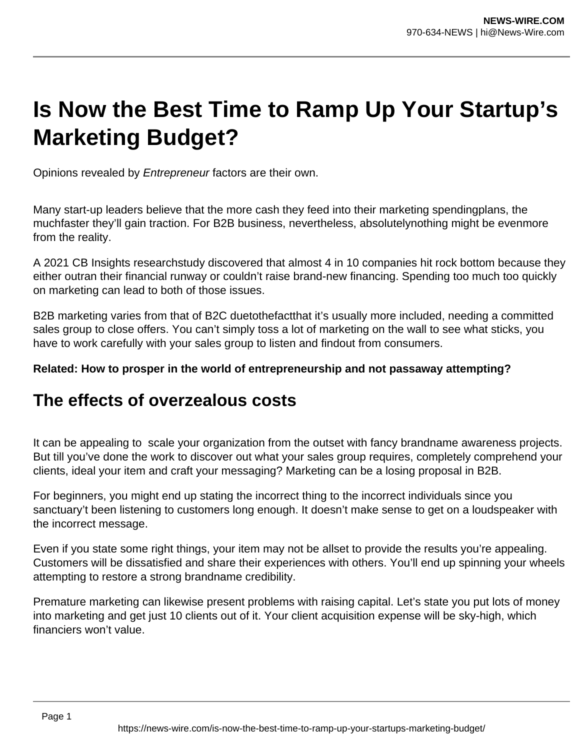# **Is Now the Best Time to Ramp Up Your Startup's Marketing Budget?**

Opinions revealed by Entrepreneur factors are their own.

Many start-up leaders believe that the more cash they feed into their marketing spendingplans, the muchfaster they'll gain traction. For B2B business, nevertheless, absolutelynothing might be evenmore from the reality.

A 2021 CB Insights researchstudy discovered that almost 4 in 10 companies hit rock bottom because they either outran their financial runway or couldn't raise brand-new financing. Spending too much too quickly on marketing can lead to both of those issues.

B2B marketing varies from that of B2C duetothefactthat it's usually more included, needing a committed sales group to close offers. You can't simply toss a lot of marketing on the wall to see what sticks, you have to work carefully with your sales group to listen and findout from consumers.

**Related: How to prosper in the world of entrepreneurship and not passaway attempting?**

#### **The effects of overzealous costs**

It can be appealing to scale your organization from the outset with fancy brandname awareness projects. But till you've done the work to discover out what your sales group requires, completely comprehend your clients, ideal your item and craft your messaging? Marketing can be a losing proposal in B2B.

For beginners, you might end up stating the incorrect thing to the incorrect individuals since you sanctuary't been listening to customers long enough. It doesn't make sense to get on a loudspeaker with the incorrect message.

Even if you state some right things, your item may not be allset to provide the results you're appealing. Customers will be dissatisfied and share their experiences with others. You'll end up spinning your wheels attempting to restore a strong brandname credibility.

Premature marketing can likewise present problems with raising capital. Let's state you put lots of money into marketing and get just 10 clients out of it. Your client acquisition expense will be sky-high, which financiers won't value.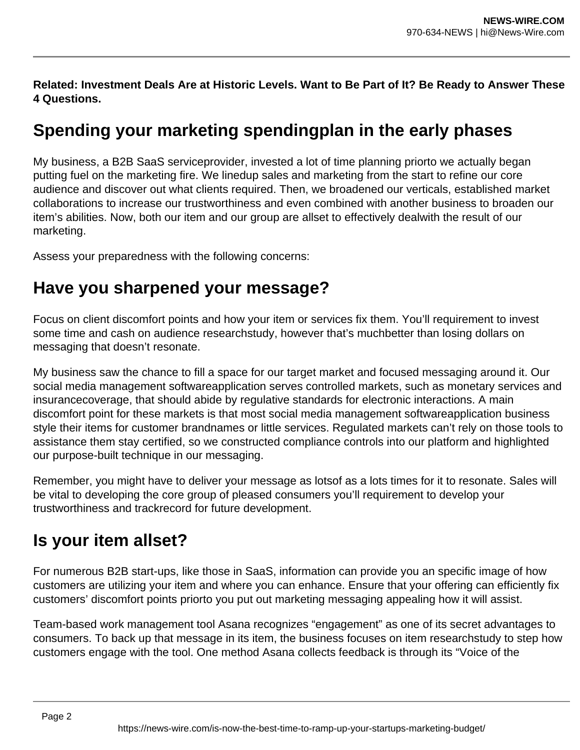**Related: Investment Deals Are at Historic Levels. Want to Be Part of It? Be Ready to Answer These 4 Questions.**

## **Spending your marketing spendingplan in the early phases**

My business, a B2B SaaS serviceprovider, invested a lot of time planning priorto we actually began putting fuel on the marketing fire. We linedup sales and marketing from the start to refine our core audience and discover out what clients required. Then, we broadened our verticals, established market collaborations to increase our trustworthiness and even combined with another business to broaden our item's abilities. Now, both our item and our group are allset to effectively dealwith the result of our marketing.

Assess your preparedness with the following concerns:

#### **Have you sharpened your message?**

Focus on client discomfort points and how your item or services fix them. You'll requirement to invest some time and cash on audience researchstudy, however that's muchbetter than losing dollars on messaging that doesn't resonate.

My business saw the chance to fill a space for our target market and focused messaging around it. Our social media management softwareapplication serves controlled markets, such as monetary services and insurancecoverage, that should abide by regulative standards for electronic interactions. A main discomfort point for these markets is that most social media management softwareapplication business style their items for customer brandnames or little services. Regulated markets can't rely on those tools to assistance them stay certified, so we constructed compliance controls into our platform and highlighted our purpose-built technique in our messaging.

Remember, you might have to deliver your message as lotsof as a lots times for it to resonate. Sales will be vital to developing the core group of pleased consumers you'll requirement to develop your trustworthiness and trackrecord for future development.

## **Is your item allset?**

For numerous B2B start-ups, like those in SaaS, information can provide you an specific image of how customers are utilizing your item and where you can enhance. Ensure that your offering can efficiently fix customers' discomfort points priorto you put out marketing messaging appealing how it will assist.

Team-based work management tool Asana recognizes "engagement" as one of its secret advantages to consumers. To back up that message in its item, the business focuses on item researchstudy to step how customers engage with the tool. One method Asana collects feedback is through its "Voice of the